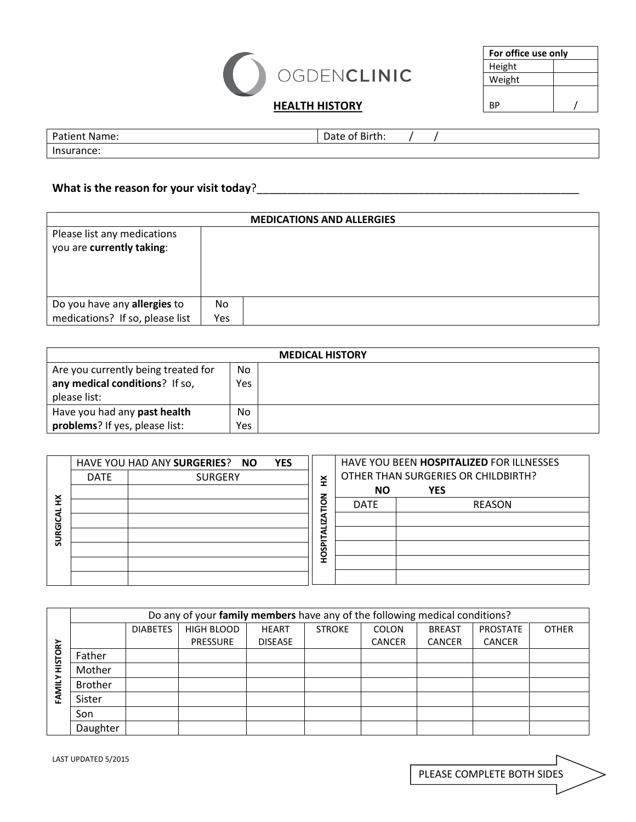

| For office use only |  |  |  |  |
|---------------------|--|--|--|--|
| Height              |  |  |  |  |
| Weight              |  |  |  |  |
| RP                  |  |  |  |  |

| Patient<br>Name: | .<br>.<br>ы<br>.<br>.<br>______ |  |
|------------------|---------------------------------|--|
| Insurance:       |                                 |  |

## **What is the reason for your visit today**?\_\_\_\_\_\_\_\_\_\_\_\_\_\_\_\_\_\_\_\_\_\_\_\_\_\_\_\_\_\_\_\_\_\_\_\_\_\_\_\_\_\_\_\_\_\_\_\_\_\_\_\_

| <b>MEDICATIONS AND ALLERGIES</b>                         |     |  |  |  |  |
|----------------------------------------------------------|-----|--|--|--|--|
| Please list any medications<br>you are currently taking: |     |  |  |  |  |
| Do you have any allergies to                             | No  |  |  |  |  |
| medications? If so, please list                          | Yes |  |  |  |  |

| <b>MEDICAL HISTORY</b>              |                |  |  |  |  |
|-------------------------------------|----------------|--|--|--|--|
| Are you currently being treated for | No             |  |  |  |  |
| any medical conditions? If so,      | Yes            |  |  |  |  |
| please list:                        |                |  |  |  |  |
| Have you had any past health        | N <sub>0</sub> |  |  |  |  |
| problems? If yes, please list:      | Yes.           |  |  |  |  |

|               |             | HAVE YOU HAD ANY SURGERIES? NO | <b>YES</b> |              |                                     | HAVE YOU BEEN HOSPITALIZED FOR ILLNESSES |
|---------------|-------------|--------------------------------|------------|--------------|-------------------------------------|------------------------------------------|
|               | <b>DATE</b> | <b>SURGERY</b>                 |            | ¥            | OTHER THAN SURGERIES OR CHILDBIRTH? |                                          |
|               |             |                                |            |              | <b>NO</b>                           | <b>YES</b>                               |
| š             |             |                                |            | š            | <b>DATE</b>                         | <b>REASON</b>                            |
| ⋖             |             |                                |            | <b>IZATI</b> |                                     |                                          |
| <b>SURGIC</b> |             |                                |            | ц<br>ŕ<br>⋍  |                                     |                                          |
|               |             |                                |            | HOSPI        |                                     |                                          |
|               |             |                                |            |              |                                     |                                          |
|               |             |                                |            |              |                                     |                                          |

|                | Do any of your family members have any of the following medical conditions? |                 |                 |                |               |               |               |                 |              |
|----------------|-----------------------------------------------------------------------------|-----------------|-----------------|----------------|---------------|---------------|---------------|-----------------|--------------|
|                |                                                                             | <b>DIABETES</b> | HIGH BLOOD      | <b>HEART</b>   | <b>STROKE</b> | COLON         | <b>BREAST</b> | <b>PROSTATE</b> | <b>OTHER</b> |
|                |                                                                             |                 | <b>PRESSURE</b> | <b>DISEASE</b> |               | <b>CANCER</b> | <b>CANCER</b> | <b>CANCER</b>   |              |
| <b>HISTORY</b> | Father                                                                      |                 |                 |                |               |               |               |                 |              |
|                | Mother                                                                      |                 |                 |                |               |               |               |                 |              |
|                | <b>Brother</b>                                                              |                 |                 |                |               |               |               |                 |              |
| ξ<br>H.        | Sister                                                                      |                 |                 |                |               |               |               |                 |              |
|                | Son                                                                         |                 |                 |                |               |               |               |                 |              |
|                | Daughter                                                                    |                 |                 |                |               |               |               |                 |              |